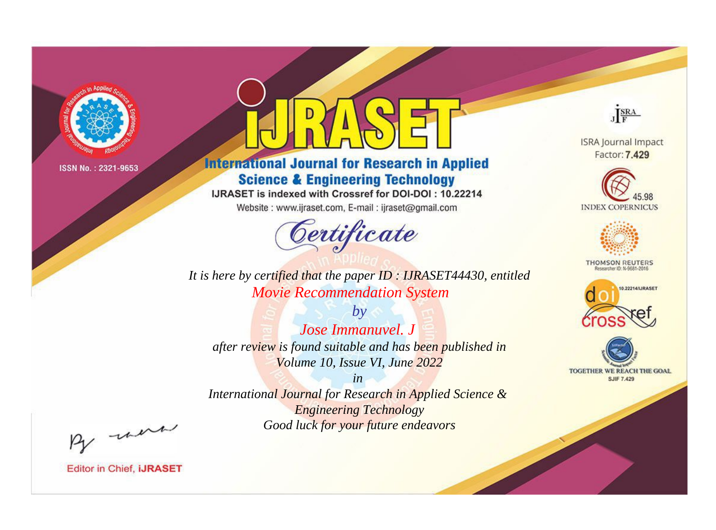

# **International Journal for Research in Applied Science & Engineering Technology**

IJRASET is indexed with Crossref for DOI-DOI: 10.22214

Website: www.ijraset.com, E-mail: ijraset@gmail.com



JERA

**ISRA Journal Impact** Factor: 7.429





**THOMSON REUTERS** 



TOGETHER WE REACH THE GOAL **SJIF 7.429** 

*It is here by certified that the paper ID : IJRASET44430, entitled Movie Recommendation System*

*by Jose Immanuvel. J after review is found suitable and has been published in Volume 10, Issue VI, June 2022*

*in* 

*International Journal for Research in Applied Science & Engineering Technology Good luck for your future endeavors*

By morn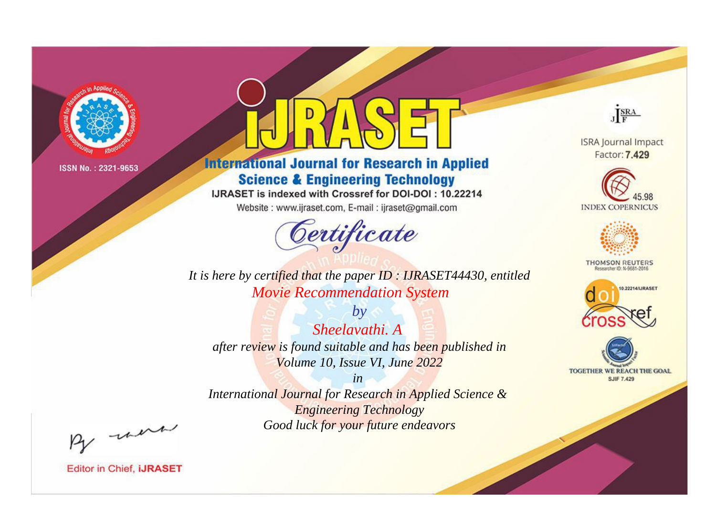

# **International Journal for Research in Applied Science & Engineering Technology**

IJRASET is indexed with Crossref for DOI-DOI: 10.22214

Website: www.ijraset.com, E-mail: ijraset@gmail.com



JERA

**ISRA Journal Impact** Factor: 7.429





**THOMSON REUTERS** 



TOGETHER WE REACH THE GOAL **SJIF 7.429** 

*It is here by certified that the paper ID : IJRASET44430, entitled Movie Recommendation System*

*by Sheelavathi. A after review is found suitable and has been published in Volume 10, Issue VI, June 2022*

*in* 

*International Journal for Research in Applied Science & Engineering Technology Good luck for your future endeavors*

By morn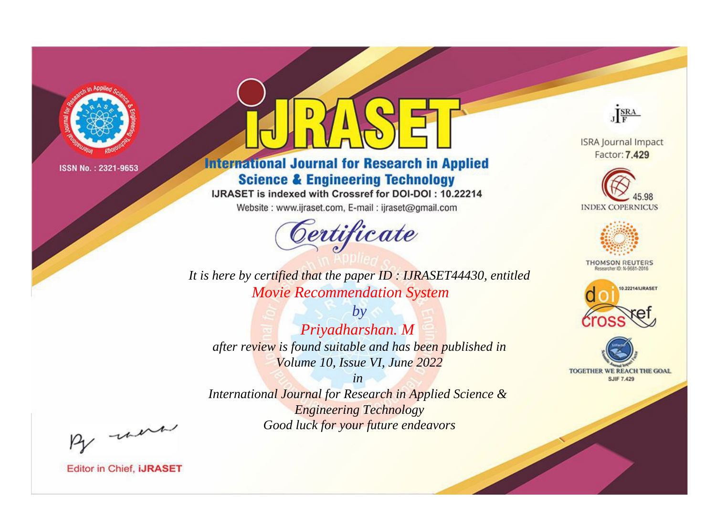

# **International Journal for Research in Applied Science & Engineering Technology**

IJRASET is indexed with Crossref for DOI-DOI: 10.22214

Website: www.ijraset.com, E-mail: ijraset@gmail.com



JERA

**ISRA Journal Impact** Factor: 7.429





**THOMSON REUTERS** 



TOGETHER WE REACH THE GOAL **SJIF 7.429** 

It is here by certified that the paper ID: IJRASET44430, entitled **Movie Recommendation System** 

 $by$ Priyadharshan. M after review is found suitable and has been published in Volume 10, Issue VI, June 2022

 $in$ International Journal for Research in Applied Science & **Engineering Technology** Good luck for your future endeavors

By morn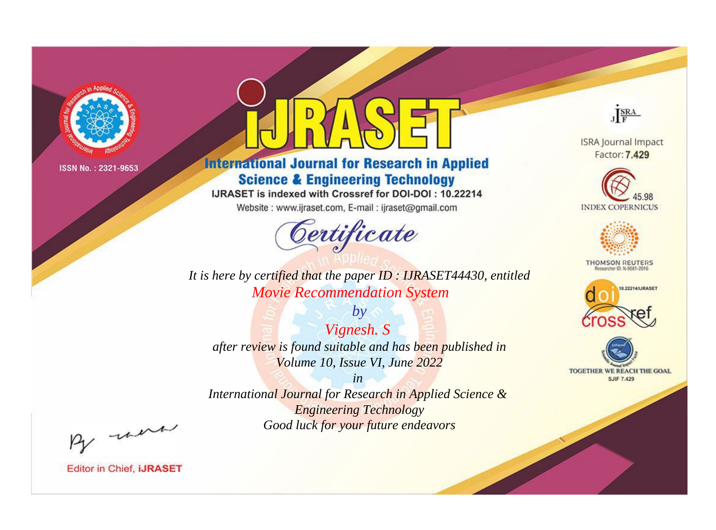

# **International Journal for Research in Applied Science & Engineering Technology**

IJRASET is indexed with Crossref for DOI-DOI: 10.22214

Website: www.ijraset.com, E-mail: ijraset@gmail.com



JERA

**ISRA Journal Impact** Factor: 7.429





**THOMSON REUTERS** 



TOGETHER WE REACH THE GOAL **SJIF 7.429** 

It is here by certified that the paper ID: IJRASET44430, entitled **Movie Recommendation System** 

 $by$ Vignesh. S after review is found suitable and has been published in Volume 10, Issue VI, June 2022

 $in$ International Journal for Research in Applied Science & **Engineering Technology** Good luck for your future endeavors

By morn